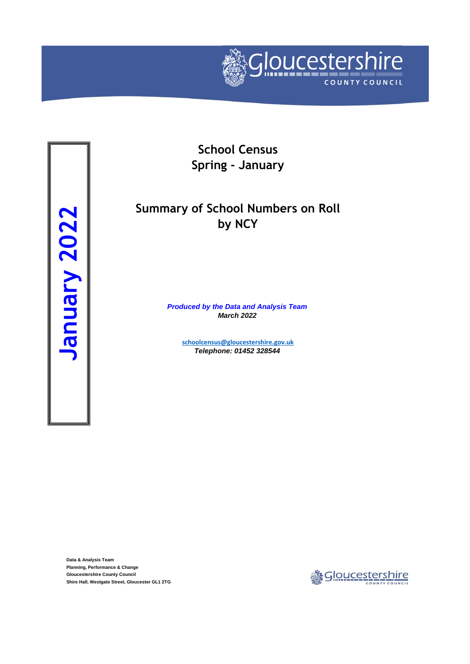

**School Census Spring - January**

# **Summary of School Numbers on Roll by NCY**

*Produced by the Data and Analysis Team March 2022*

> **[schoolcensus@gloucesters](mailto:schoolcensus@gloucestershire.gov.uk)hire.gov.uk** *Telephone: 01452 328544*

**Data & Analysis Team Planning, Performance & Change Gloucestershire County Council**

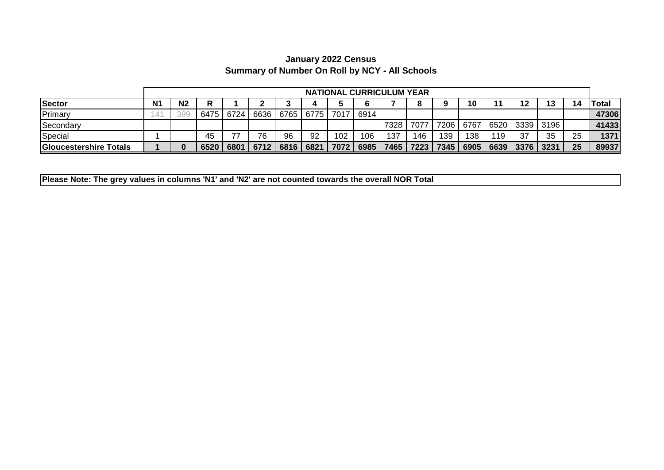## **Summary of Number On Roll by NCY - All Schools January 2022 Census**

|                               |                | <b>NATIONAL CURRICULUM YEAR</b> |      |           |      |      |           |      |      |      |           |      |      |      |           |      |    |       |
|-------------------------------|----------------|---------------------------------|------|-----------|------|------|-----------|------|------|------|-----------|------|------|------|-----------|------|----|-------|
| <b>Sector</b>                 | N <sub>1</sub> | N <sub>2</sub>                  |      |           |      |      |           |      |      |      |           |      | 10   |      | 12        | 13   | 14 | Total |
| Primary                       | 41             | 399                             |      | 6475 6724 | 6636 |      | 6765 6775 | 7017 | 6914 |      |           |      |      |      |           |      |    | 47306 |
| Secondary                     |                |                                 |      |           |      |      |           |      |      | 7328 | 7077      | 7206 | 6767 | 6520 | 3339      | 3196 |    | 41433 |
| Special                       |                |                                 | 45   |           | 76   | 96   | 92        | 102  | 106  | 137  | 146       | 139  | 138  | 119  | 37        | 35   | 25 | 1371  |
| <b>Gloucestershire Totals</b> |                |                                 | 6520 | 6801      | 6712 | 6816 | 6821      | 7072 | 6985 |      | 7465 7223 | 7345 | 6905 |      | 6639 3376 | 3231 | 25 | 89937 |

**Please Note: The grey values in columns 'N1' and 'N2' are not counted towards the overall NOR Total**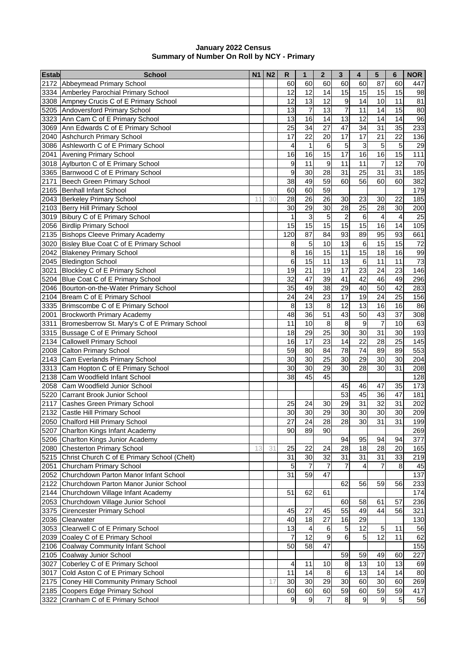#### **January 2022 Census Summary of Number On Roll by NCY - Primary**

| <b>Estab</b> | School                                             | <b>N1</b> | N <sub>2</sub> | $\mathsf{R}$     | 1              | $\bf{2}$       | 3                | 4     | 5                | 6              | <b>NOR</b> |
|--------------|----------------------------------------------------|-----------|----------------|------------------|----------------|----------------|------------------|-------|------------------|----------------|------------|
|              | 2172 Abbeymead Primary School                      |           |                | 60               | 60             | 60             | 60               | 60    | 87               | 60             | 447        |
|              | 3334 Amberley Parochial Primary School             |           |                | 12               | 12             | 14             | 15               | 15    | 15               | 15             | 98         |
|              | 3308 Ampney Crucis C of E Primary School           |           |                | 12               | 13             | 12             | $\boldsymbol{9}$ | 14    | 10               | 11             | 81         |
|              | 5205 Andoversford Primary School                   |           |                | 13               | $\overline{7}$ | 13             | $\overline{7}$   | 11    | 14               | 15             | 80         |
|              | 3323 Ann Cam C of E Primary School                 |           |                | 13               | 16             | 14             | 13               | 12    | 14               | 14             | 96         |
|              | 3069 Ann Edwards C of E Primary School             |           |                | 25               | 34             | 27             | 47               | 34    | 31               | 35             | 233        |
|              | 2040 Ashchurch Primary School                      |           |                | 17               | 22             | 20             | 17               | 17    | 21               | 22             | 136        |
|              | 3086 Ashleworth C of E Primary School              |           |                | 4                | $\mathbf{1}$   | 6              | 5                | 3     | 5                | 5              | 29         |
|              | 2041 Avening Primary School                        |           |                | 16               | 16             | 15             | 17               | 16    | 16               | 15             | 111        |
|              | 3018 Aylburton C of E Primary School               |           |                | 9                | 11             | 9              | $\overline{11}$  | 11    | $\overline{7}$   | 12             | 70         |
|              | 3365 Barnwood C of E Primary School                |           |                | 9                | 30             | 28             | 31               | 25    | 31               | 31             | 185        |
|              | 2171 Beech Green Primary School                    |           |                | 38               | 49             | 59             | 60               | 56    | 60               | 60             | 382        |
|              | 2165 Benhall Infant School                         |           |                | 60               | 60             | 59             |                  |       |                  |                | 179        |
|              | 2043 Berkeley Primary School                       | 11        | 30             | 28               | 26             | 26             | 30               | 23    | 30               | 22             | 185        |
|              | 2103 Berry Hill Primary School                     |           |                | 30               | 29             | 30             | 28               | 25    | $\overline{28}$  | 30             | 200        |
|              | 3019 Bibury C of E Primary School                  |           |                | 1                | $\mathsf 3$    | 5              | $\overline{c}$   | 6     | 4                | $\overline{4}$ | 25         |
|              | 2056 Birdlip Primary School                        |           |                | 15               | 15             | 15             | 15               | 15    | 16               | 14             | 105        |
|              | 2135 Bishops Cleeve Primary Academy                |           |                | 120              | 87             | 84             | 93               | 89    | 95               | 93             | 661        |
|              | 3020 Bisley Blue Coat C of E Primary School        |           |                | 8                | 5              | 10             | $\overline{13}$  | $\,6$ | 15               | 15             | 72         |
|              | 2042 Blakeney Primary School                       |           |                | 8                | 16             | 15             | 11               | 15    | 18               | 16             | 99         |
|              | 2045 Bledington School                             |           |                | 6                | 15             | 11             | 13               | 6     | 11               | 11             | 73         |
|              | 3021 Blockley C of E Primary School                |           |                | 19               | 21             | 19             | 17               | 23    | 24               | 23             | 146        |
|              | 5204 Blue Coat C of E Primary School               |           |                | 32               | 47             | 39             | 41               | 42    | 46               | 49             | 296        |
|              | 2046 Bourton-on-the-Water Primary School           |           |                | 35               | 49             | 38             | 29               | 40    | 50               | 42             | 283        |
|              | 2104 Bream C of E Primary School                   |           |                | 24               | 24             | 23             | 17               | 19    | 24               | 25             | 156        |
|              | 3335   Brimscombe C of E Primary School            |           |                | 8                | 13             | 8              | 12               | 13    | 16               | 16             | 86         |
|              | 2001 Brockworth Primary Academy                    |           |                | 48               | 36             | 51             | 43               | 50    | 43               | 37             | 308        |
|              | 3311 Bromesberrow St. Mary's C of E Primary School |           |                | 11               | 10             | 8              | 8                | 9     | 7                | 10             | 63         |
|              | 3315 Bussage C of E Primary School                 |           |                | 18               | 29             | 25             | 30               | 30    | 31               | 30             | 193        |
|              | 2134 Callowell Primary School                      |           |                | 16               | 17             | 23             | 14               | 22    | 28               | 25             | 145        |
|              | 2008 Calton Primary School                         |           |                | 59               | 80             | 84             | 78               | 74    | 89               | 89             | 553        |
|              | 2143 Cam Everlands Primary School                  |           |                | 30               | 30             | 25             | 30               | 29    | 30               | 30             | 204        |
|              | 3313 Cam Hopton C of E Primary School              |           |                | 30               | 30             | 29             | 30               | 28    | 30               | 31             | 208        |
|              | 2138 Cam Woodfield Infant School                   |           |                | 38               | 45             | 45             |                  |       |                  |                | 128        |
|              | 2058 Cam Woodfield Junior School                   |           |                |                  |                |                | 45               | 46    | 47               | 35             | 173        |
|              | 5220 Carrant Brook Junior School                   |           |                |                  |                |                | 53               | 45    | 36               | 47             | 181        |
|              | 2117 Cashes Green Primary School                   |           |                | 25               | 24             | 30             | 29               | 31    | 32               | 31             | 202        |
|              | 2132 Castle Hill Primary School                    |           |                | 30               | 30             | 29             | 30               | 30    | 30               | 30             | 209        |
|              | 2050 Chalford Hill Primary School                  |           |                | $\overline{27}$  | 24             | 28             | $\overline{28}$  | 30    | 31               | 31             | 199        |
|              | 5207 Charlton Kings Infant Academy                 |           |                | 90               | 89             | 90             |                  |       |                  |                | 269        |
|              | 5206 Charlton Kings Junior Academy                 |           |                |                  |                |                | 94               | 95    | 94               | 94             | 377        |
|              | 2080 Chesterton Primary School                     | 13        | 31             | 25               | 22             | 24             | 28               | 18    | $\overline{28}$  | 20             | 165        |
|              | 5215 Christ Church C of E Primary School (Chelt)   |           |                | 31               | 30             | 32             | 31               | 31    | 31               | 33             | 219        |
|              | 2051 Churcham Primary School                       |           |                | 5                | $\overline{7}$ | $\overline{7}$ | 7                | 4     | $\overline{7}$   | 8              | 45         |
|              | 2052 Churchdown Parton Manor Infant School         |           |                | 31               | 59             | 47             |                  |       |                  |                | 137        |
|              | 2122 Churchdown Parton Manor Junior School         |           |                |                  |                |                | 62               | 56    | 59               | 56             | 233        |
|              | 2144 Churchdown Village Infant Academy             |           |                | 51               | 62             | 61             |                  |       |                  |                | 174        |
|              | 2053 Churchdown Village Junior School              |           |                |                  |                |                | 60               | 58    | 61               | 57             | 236        |
|              | 3375 Cirencester Primary School                    |           |                | 45               | 27             | 45             | 55               | 49    | 44               | 56             | 321        |
|              | 2036 Clearwater                                    |           |                | 40               | 18             | 27             | 16               | 29    |                  |                | 130        |
|              | 3053 Clearwell C of E Primary School               |           |                | 13               | 4              | 6              | 5                | 12    | 5                | 11             | 56         |
|              | 2039 Coaley C of E Primary School                  |           |                | 7                | 12             | 9              | 6                | 5     | $\overline{12}$  | 11             | 62         |
|              | 2106 Coalway Community Infant School               |           |                | 50               | 58             | 47             |                  |       |                  |                | 155        |
|              | 2105 Coalway Junior School                         |           |                |                  |                |                | 59               | 59    | 49               | 60             | 227        |
|              | 3027 Coberley C of E Primary School                |           |                | 4                | 11             | 10             | $\bf 8$          | 13    | 10               | 13             | 69         |
|              | 3017 Cold Aston C of E Primary School              |           |                | 11               | 14             | $\,8\,$        | $\,$ 6           | 13    | 14               | 14             | 80         |
|              | 2175 Coney Hill Community Primary School           |           | 17             | 30               | 30             | 29             | 30               | 60    | 30               | 60             | 269        |
|              | 2185 Coopers Edge Primary School                   |           |                | 60               | 60             | 60             | 59               | 60    | 59               | 59             | 417        |
| 3322         | Cranham C of E Primary School                      |           |                | $\boldsymbol{9}$ | 9              | $\overline{7}$ | 8                | 9     | $\boldsymbol{9}$ | $\overline{5}$ | 56         |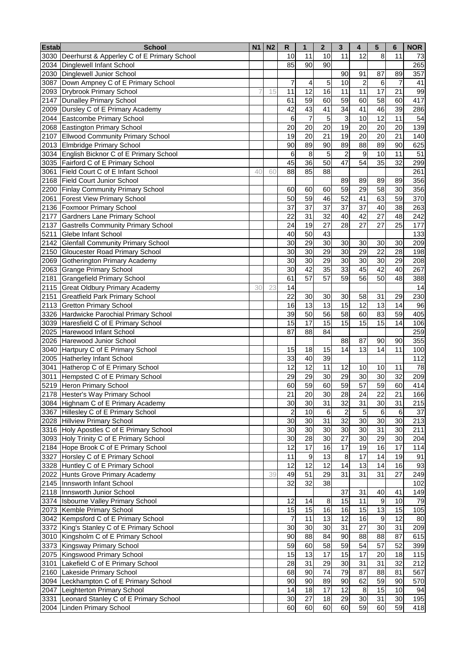| <b>Estab</b> | <b>School</b>                                   | N <sub>1</sub> | N <sub>2</sub> | R              | $\mathbf{1}$     | $\mathbf{2}$ | 3               | 4              | 5                | 6  | <b>NOR</b> |
|--------------|-------------------------------------------------|----------------|----------------|----------------|------------------|--------------|-----------------|----------------|------------------|----|------------|
|              | 3030 Deerhurst & Apperley C of E Primary School |                |                | 10             | 11               | 10           | 11              | 12             | 8                | 11 | 73         |
|              | 2034 Dinglewell Infant School                   |                |                | 85             | 90               | 90           |                 |                |                  |    | 265        |
| 2030         | Dinglewell Junior School                        |                |                |                |                  |              | 90              | 91             | 87               | 89 | 357        |
| 3087         | Down Ampney C of E Primary School               |                |                | 7              | 4                | 5            | 10              | $\overline{2}$ | 6                | 7  | 41         |
|              | 2093 Drybrook Primary School                    |                | 15             | 11             | 12               | 16           | 11              | 11             | 17               | 21 | 99         |
|              | 2147 Dunalley Primary School                    |                |                | 61             | 59               | 60           | 59              | 60             | 58               | 60 | 417        |
|              | 2009 Dursley C of E Primary Academy             |                |                | 42             | 43               | 41           | 34              | 41             | 46               | 39 | 286        |
|              | 2044 Eastcombe Primary School                   |                |                | 6              | $\overline{7}$   | 5            | 3               | 10             | 12               | 11 | 54         |
|              | 2068 Eastington Primary School                  |                |                | 20             | 20               | 20           | 19              | 20             | 20               | 20 | 139        |
|              | 2107 Ellwood Community Primary School           |                |                | 19             | 20               | 21           | $\overline{19}$ | 20             | $\overline{20}$  | 21 | 140        |
|              | 2013 Elmbridge Primary School                   |                |                | 90             | 89               | 90           | 89              | 88             | 89               | 90 | 625        |
|              | 3034 English Bicknor C of E Primary School      |                |                | 6              | 8                | 5            | $\overline{2}$  | 9              | 10               | 11 | 51         |
|              | 3035 Fairford C of E Primary School             |                |                | 45             | 36               | 50           | 47              | 54             | 35               | 32 | 299        |
| 3061         | Field Court C of E Infant School                | 40             | 60             | 88             | 85               | 88           |                 |                |                  |    | 261        |
| 2168         | <b>Field Court Junior School</b>                |                |                |                |                  |              | 89              | 89             | 89               | 89 | 356        |
|              | 2200 Finlay Community Primary School            |                |                | 60             | 60               | 60           | 59              | 29             | 58               | 30 | 356        |
| 2061         | <b>Forest View Primary School</b>               |                |                | 50             | 59               | 46           | 52              | 41             | 63               | 59 | 370        |
|              | 2136 Foxmoor Primary School                     |                |                | 37             | 37               | 37           | 37              | 37             | 40               | 38 | 263        |
|              | 2177 Gardners Lane Primary School               |                |                | 22             | 31               | 32           | 40              | 42             | 27               | 48 | 242        |
|              | 2137 Gastrells Community Primary School         |                |                | 24             | 19               | 27           | 28              | 27             | 27               | 25 | 177        |
| 5211         | Glebe Infant School                             |                |                | 40             | 50               | 43           |                 |                |                  |    | 133        |
|              | 2142 Glenfall Community Primary School          |                |                | 30             | 29               | 30           | 30              | 30             | 30               | 30 | 209        |
|              | 2150 Gloucester Road Primary School             |                |                | 30             | 30               | 29           | 30              | 29             | 22               | 28 | 198        |
|              | 2069 Gotherington Primary Academy               |                |                | 30             | 30               | 29           | 30              | 30             | 30               | 29 | 208        |
|              | 2063 Grange Primary School                      |                |                | 30             | 42               | 35           | 33              | 45             | 42               | 40 | 267        |
|              | 2181 Grangefield Primary School                 |                |                | 61             | 57               | 57           | 59              | 56             | 50               | 48 | 388        |
|              | 2115 Great Oldbury Primary Academy              | 30             | 23             | 14             |                  |              |                 |                |                  |    | 14         |
| 2151         | <b>Greatfield Park Primary School</b>           |                |                | 22             | 30               | 30           | 30              | 58             | 31               | 29 | 230        |
|              | 2113 Gretton Primary School                     |                |                | 16             | 13               | 13           | 15              | 12             | 13               | 14 | 96         |
|              | 3326 Hardwicke Parochial Primary School         |                |                | 39             | 50               | 56           | 58              | 60             | 83               | 59 | 405        |
|              | 3039 Haresfield C of E Primary School           |                |                | 15             | 17               | 15           | 15              | 15             | 15               | 14 | 106        |
|              | 2025 Harewood Infant School                     |                |                | 87             | 88               | 84           |                 |                |                  |    | 259        |
|              | 2026 Harewood Junior School                     |                |                |                |                  |              | 88              | 87             | 90               | 90 | 355        |
|              | 3040 Hartpury C of E Primary School             |                |                | 15             | 18               | 15           | 14              | 13             | 14               | 11 | 100        |
|              | 2005 Hatherley Infant School                    |                |                | 33             | 40               | 39           |                 |                |                  |    | 112        |
|              | 3041 Hatherop C of E Primary School             |                |                | 12             | 12               | 11           | 12              | 10             | 10               | 11 | 78         |
| 3011         | Hempsted C of E Primary School                  |                |                | 29             | 29               | 30           | 29              | 30             | 30               | 32 | 209        |
|              | 5219 Heron Primary School                       |                |                | 60             | 59               | 60           | 59              | 57             | 59               | 60 | 414        |
|              | 2178 Hester's Way Primary School                |                |                | 21             | 20               | 30           | $\overline{28}$ | 24             | $\overline{22}$  | 21 | 166        |
|              | 3084 Highnam C of E Primary Academy             |                |                | 30             | 30               | 31           | 32              | 31             | 30               | 31 | 215        |
|              | 3367 Hillesley C of E Primary School            |                |                | 2              | 10               | 6            | $\overline{2}$  | 5              | 6                | 6  | 37         |
|              | 2028 Hillview Primary School                    |                |                | 30             | 30               | 31           | 32              | 30             | 30               | 30 | 213        |
|              | 3316 Holy Apostles C of E Primary School        |                |                | 30             | 30               | 30           | 30              | 30             | 31               | 30 | 211        |
|              | 3093 Holy Trinity C of E Primary School         |                |                | 30             | 28               | 30           | 27              | 30             | 29               | 30 | 204        |
|              | 2184 Hope Brook C of E Primary School           |                |                | 12             | 17               | 16           | 17              | 19             | 16               | 17 | 114        |
|              | 3327 Horsley C of E Primary School              |                |                | 11             | $\boldsymbol{9}$ | 13           | 8               | 17             | 14               | 19 | 91         |
|              | 3328 Huntley C of E Primary School              |                |                | 12             | 12               | 12           | 14              | 13             | 14               | 16 | 93         |
|              | 2022 Hunts Grove Primary Academy                |                | 39             | 49             | 51               | 29           | 31              | 31             | 31               | 27 | 249        |
|              | 2145   Innsworth Infant School                  |                |                | 32             | 32               | 38           |                 |                |                  |    | 102        |
|              | 2118   Innsworth Junior School                  |                |                |                |                  |              | 37              | 31             | 40               | 41 | 149        |
|              | 3374 Isbourne Valley Primary School             |                |                | 12             | 14               | 8            | 15              | 11             | $9\,$            | 10 | 79         |
|              | 2073   Kemble Primary School                    |                |                | 15             | 15               | 16           | 16              | 15             | 13               | 15 | 105        |
|              | 3042 Kempsford C of E Primary School            |                |                | $\overline{7}$ | 11               | 13           | 12              | 16             | $\boldsymbol{9}$ | 12 | 80         |
|              | 3372 King's Stanley C of E Primary School       |                |                | 30             | 30               | 30           | 31              | 27             | 30               | 31 | 209        |
|              | 3010 Kingsholm C of E Primary School            |                |                | 90             | 88               | 84           | 90              | 88             | 88               | 87 | 615        |
|              | 3373 Kingsway Primary School                    |                |                | 59             | 60               | 58           | 59              | 54             | 57               | 52 | 399        |
|              | 2075 Kingswood Primary School                   |                |                | 15             | 13               | 17           | 15              | 17             | 20               | 18 | 115        |
| 3101         | Lakefield C of E Primary School                 |                |                | 28             | 31               | 29           | 30              | 31             | 31               | 32 | 212        |
|              | 2160 Lakeside Primary School                    |                |                | 68             | 90               | 74           | 79              | 87             | 88               | 81 | 567        |
|              | 3094 Leckhampton C of E Primary School          |                |                | 90             | 90               | 89           | 90              | 62             | 59               | 90 | 570        |
|              | 2047 Leighterton Primary School                 |                |                | 14             | 18               | 17           | 12              | $\,8\,$        | 15               | 10 | 94         |
| 3331         | Leonard Stanley C of E Primary School           |                |                | 30             | 27               | 18           | 29              | 30             | 31               | 30 | 195        |
|              | 2004 Linden Primary School                      |                |                | 60             | 60               | 60           | 60              | 59             | 60               | 59 | 418        |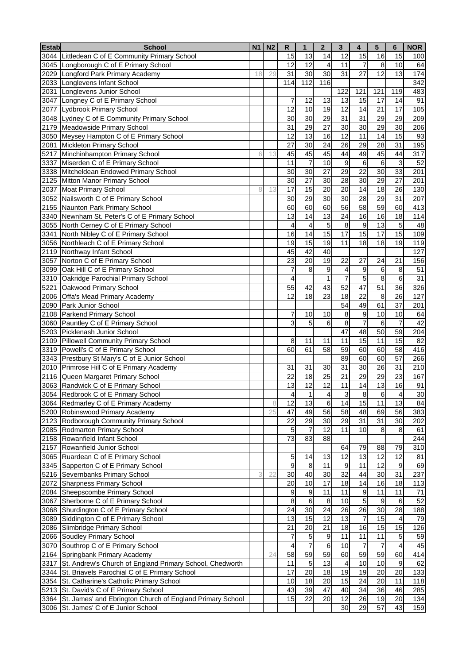| <b>Estab</b> | <b>School</b>                                                         | <b>N1</b> | N <sub>2</sub> | ${\sf R}$       | $\mathbf{1}$             | $\mathbf{2}$   | $\mathbf{3}$        | $\overline{\mathbf{4}}$ | 5               | 6                | <b>NOR</b> |
|--------------|-----------------------------------------------------------------------|-----------|----------------|-----------------|--------------------------|----------------|---------------------|-------------------------|-----------------|------------------|------------|
|              | 3044 Littledean C of E Community Primary School                       |           |                | 15              | 13                       | 14             | 12                  | 15                      | 16              | 15               | 100        |
| 3045         | Longborough C of E Primary School                                     |           |                | 12              | 12                       | 4              | 11                  | 7                       | 8               | 10               | 64         |
| 2029         | Longford Park Primary Academy                                         | 18        | 29             | 31              | 30                       | 30             | 31                  | 27                      | 12              | 13               | 174        |
| 2033         | Longlevens Infant School                                              |           |                | 114             | 112                      | 116            |                     |                         |                 |                  | 342        |
| 2031         | Longlevens Junior School                                              |           |                |                 |                          |                | 122                 | 121                     | 121             | 119              | 483        |
| 3047         | Longney C of E Primary School                                         |           |                | 7               | 12                       | 13             | 13                  | 15                      | 17              | 14               | 91         |
| 2077         | Lydbrook Primary School                                               |           |                | 12              | 10                       | 19             | 12                  | 14                      | 21              | 17               | 105        |
| 3048         | Lydney C of E Community Primary School                                |           |                | 30              | 30                       | 29             | 31                  | 31                      | 29              | 29               | 209        |
|              | 2179 Meadowside Primary School                                        |           |                | 31              | 29                       | 27             | 30                  | 30                      | 29              | 30               | 206        |
|              | 3050 Meysey Hampton C of E Primary School                             |           |                | $\overline{12}$ | $\overline{13}$          | 16             | $\overline{12}$     | 11                      | 14              | 15               | 93         |
|              | 2081 Mickleton Primary School                                         |           |                | 27              | 30                       | 24             | 26                  | 29                      | 28              | 31               | 195        |
|              | 5217 Minchinhampton Primary School                                    | 6         | 13             | 45              | 45                       | 45             | 44                  | 49                      | 45              | 44               | 317        |
|              | 3337 Miserden C of E Primary School                                   |           |                | 11              | $\overline{7}$           | 10             | 9                   | 6                       | $6\phantom{1}$  | 3                | 52         |
|              | 3338 Mitcheldean Endowed Primary School                               |           |                | 30              | 30                       | 27             | 29                  | 22                      | 30              | 33               | 201        |
|              | 2125 Mitton Manor Primary School                                      |           |                | 30              | 27                       | 30             | 28                  | 30                      | 29              | 27               | 201        |
|              | 2037 Moat Primary School                                              | 8         | 13             | 17              | 15                       | 20             | 20                  | 14                      | 18              | 26               | 130        |
|              | 3052 Nailsworth C of E Primary School                                 |           |                | 30              | 29                       | 30             | 30                  | 28                      | 29              | 31               | 207        |
|              | 2155 Naunton Park Primary School                                      |           |                | 60              | 60                       | 60             | 56                  | 58                      | 59              | 60               | 413        |
|              | 3340 Newnham St. Peter's C of E Primary School                        |           |                | 13              | 14                       | 13             | 24                  | 16                      | 16              | 18               | 114        |
|              | 3055 North Cerney C of E Primary School                               |           |                | 4               | 4                        | 5              | 8                   | 9                       | 13              | 5                | 48         |
|              | 3341 North Nibley C of E Primary School                               |           |                | 16              | 14                       | 15             | 17                  | 15                      | 17              | 15               | 109        |
|              | 3056 Northleach C of E Primary School                                 |           |                | 19              | 15                       | 19             | 11                  | 18                      | 18              | 19               | 119        |
|              | 2119 Northway Infant School                                           |           |                | 45              | 42                       | 40             |                     |                         |                 |                  | 127        |
|              | 3057 Norton C of E Primary School                                     |           |                | 23              | 20                       | 19             | 22                  | 27                      | 24              | 21               | 156        |
|              | 3099 Oak Hill C of E Primary School                                   |           |                | 7<br>4          | 8                        | 9              | 4<br>$\overline{7}$ | 9                       | 6<br>8          | 8<br>6           | 51<br>31   |
|              | 3310 Oakridge Parochial Primary School<br>5221 Oakwood Primary School |           |                | 55              | 42                       |                | 52                  | 5<br>47                 | 51              | 36               |            |
|              |                                                                       |           |                | 12              | 18                       | 43<br>23       | 18                  | 22                      | 8               | 26               | 326<br>127 |
|              | 2006 Offa's Mead Primary Academy                                      |           |                |                 |                          |                |                     |                         |                 |                  |            |
|              | 2090 Park Junior School                                               |           |                |                 |                          |                | 54                  | 49                      | 61              | 37               | 201        |
|              | 2108 Parkend Primary School                                           |           |                | 7<br>3          | 10                       | 10             | 8                   | 9                       | 10              | 10               | 64<br>42   |
|              | 3060 Pauntley C of E Primary School<br>5203 Picklenash Junior School  |           |                |                 | 5                        | 6              | 8<br>47             | 7                       | 6<br>50         | 7<br>59          |            |
|              | 2109 Pillowell Community Primary School                               |           |                | 8               | 11                       | 11             | 11                  | 48<br>15                | 11              | 15               | 204<br>82  |
|              | 3319 Powell's C of E Primary School                                   |           |                | 60              | 61                       | 58             | 59                  | 60                      | 60              | 58               | 416        |
|              | 3343 Prestbury St Mary's C of E Junior School                         |           |                |                 |                          |                | 89                  | 60                      | 60              | 57               | 266        |
|              | 2010 Primrose Hill C of E Primary Academy                             |           |                | 31              | 31                       | 30             | 31                  | 30                      | 26              | 31               | 210        |
|              | 2116 Queen Margaret Primary School                                    |           |                | 22              | 18                       | 25             | 21                  | 29                      | 29              | 23               | 167        |
|              | 3063 Randwick C of E Primary School                                   |           |                | 13              | 12                       | 12             | 11                  | 14                      | 13              | 16               | 91         |
|              | 3054 Redbrook C of E Primary School                                   |           |                | 4               | $\mathbf{1}$             | $\overline{4}$ | 3                   | 8                       | $6 \overline{}$ | $\overline{4}$   | 30         |
|              | 3064 Redmarley C of E Primary Academy                                 |           | 8              | 12              | 13                       | $\,6$          | 14                  | 15                      | 11              | 13               | 84         |
|              | 5200 Robinswood Primary Academy                                       |           | 25             | 47              | 49                       | 56             | 58                  | 48                      | 69              | 56               | 383        |
|              | 2123 Rodborough Community Primary School                              |           |                | 22              | 29                       | 30             | 29                  | 31                      | 31              | 30               | 202        |
|              | 2085 Rodmarton Primary School                                         |           |                | 5               | $\overline{\mathcal{I}}$ | 12             | 11                  | 10                      | 8               | 8                | 61         |
|              | 2158 Rowanfield Infant School                                         |           |                | 73              | 83                       | 88             |                     |                         |                 |                  | 244        |
|              | 2157 Rowanfield Junior School                                         |           |                |                 |                          |                | 64                  | 79                      | 88              | 79               | 310        |
|              | 3065 Ruardean C of E Primary School                                   |           |                | 5               | 14                       | 13             | 12                  | 13                      | 12              | 12               | 81         |
|              | 3345 Sapperton C of E Primary School                                  |           |                | 9               | 8                        | 11             | 9                   | 11                      | 12              | 9                | 69         |
|              | 5216 Severnbanks Primary School                                       | 3         | 22             | 30              | 40                       | 30             | 32                  | 44                      | 30              | 31               | 237        |
|              | 2072 Sharpness Primary School                                         |           |                | 20              | 10                       | 17             | 18                  | 14                      | 16              | 18               | 113        |
|              | 2084 Sheepscombe Primary School                                       |           |                | 9               | $\boldsymbol{9}$         | 11             | 11                  | $\boldsymbol{9}$        | 11              | 11               | 71         |
|              | 3067 Sherborne C of E Primary School                                  |           |                | 8               | $\,6$                    | 8              | 10                  | 5                       | 9               | 6                | 52         |
|              | 3068 Shurdington C of E Primary School                                |           |                | 24              | 30                       | 24             | 26                  | 26                      | 30              | 28               | 188        |
|              | 3089 Siddington C of E Primary School                                 |           |                | 13              | 15                       | 12             | 13                  | $\overline{7}$          | 15              | 4                | 79         |
|              | 2086 Slimbridge Primary School                                        |           |                | 21              | 20                       | 21             | 18                  | 16                      | 15              | 15               | 126        |
|              | 2066 Soudley Primary School                                           |           |                | 7               | 5                        | 9              | 11                  | 11                      | 11              | $\overline{5}$   | 59         |
|              | 3070 Southrop C of E Primary School                                   |           |                | 4               | $\overline{7}$           | $\,6$          | 10                  | 7                       | 7               | 4                | 45         |
|              | 2164 Springbank Primary Academy                                       |           | 24             | 58              | 59                       | 59             | 60                  | 59                      | 59              | 60               | 414        |
|              | 3317 St. Andrew's Church of England Primary School, Chedworth         |           |                | 11              | $\sqrt{5}$               | 13             | $\overline{4}$      | 10                      | 10              | $\boldsymbol{9}$ | 62         |
|              | 3344 St. Briavels Parochial C of E Primary School                     |           |                | 17              | 20                       | 18             | 19                  | 19                      | 20              | 20               | 133        |
|              | 3354 St. Catharine's Catholic Primary School                          |           |                | 10              | 18                       | 20             | $\overline{15}$     | 24                      | $\overline{20}$ | 11               | 118        |
|              | 5213 St. David's C of E Primary School                                |           |                | 43              | 39                       | 47             | 40                  | 34                      | 36              | 46               | 285        |
|              | 3364 St. James' and Ebrington Church of England Primary School        |           |                | 15              | 22                       | 20             | 12                  | 26                      | 19              | 20               | 134        |
|              | 3006 St. James' C of E Junior School                                  |           |                |                 |                          |                | 30                  | 29                      | 57              | 43               | 159        |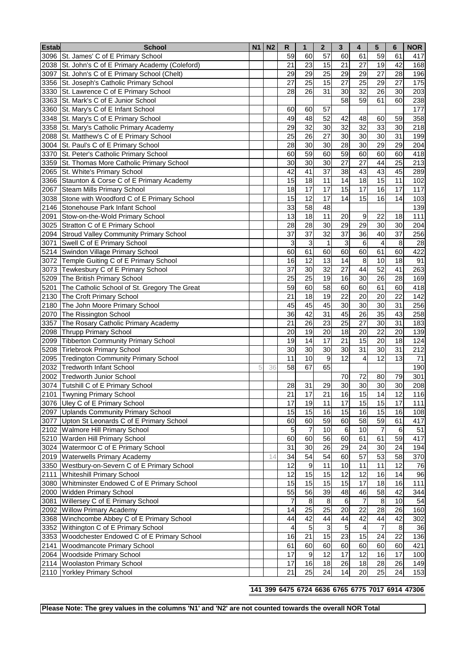| <b>Estab</b> | <b>School</b>                                     | <b>N1</b> | N <sub>2</sub> | R              | $\mathbf{1}$             | $\boldsymbol{2}$ | 3               | 4                       | 5                       | 6       | <b>NOR</b> |
|--------------|---------------------------------------------------|-----------|----------------|----------------|--------------------------|------------------|-----------------|-------------------------|-------------------------|---------|------------|
|              | 3096   St. James' C of E Primary School           |           |                | 59             | 60                       | 57               | 60              | 61                      | 59                      | 61      | 417        |
|              | 2038 St. John's C of E Primary Academy (Coleford) |           |                | 21             | 23                       | 15               | $\overline{21}$ | 27                      | 19                      | 42      | 168        |
|              | 3097 St. John's C of E Primary School (Chelt)     |           |                | 29             | 29                       | 25               | 29              | 29                      | 27                      | 28      | 196        |
|              | 3356 St. Joseph's Catholic Primary School         |           |                | 27             | 25                       | 15               | 27              | 25                      | 29                      | 27      | 175        |
|              | 3330 St. Lawrence C of E Primary School           |           |                | 28             | 26                       | 31               | 30              | 32                      | 26                      | 30      | 203        |
|              | 3363 St. Mark's C of E Junior School              |           |                |                |                          |                  | 58              | 59                      | 61                      | 60      | 238        |
|              | 3360 St. Mary's C of E Infant School              |           |                | 60             | 60                       | 57               |                 |                         |                         |         | 177        |
|              | 3348 St. Mary's C of E Primary School             |           |                | 49             | 48                       | 52               | 42              | 48                      | 60                      | 59      | 358        |
|              | 3358 St. Mary's Catholic Primary Academy          |           |                | 29             | 32                       | 30               | 32              | 32                      | 33                      | 30      | 218        |
|              | 2088 St. Matthew's C of E Primary School          |           |                | 25             | 26                       | 27               | 30              | 30                      | 30                      | 31      | 199        |
|              | 3004 St. Paul's C of E Primary School             |           |                | 28             | 30                       | 30               | 28              | 30                      | 29                      | 29      | 204        |
|              | 3370 St. Peter's Catholic Primary School          |           |                | 60             | 59                       | 60               | 59              | 60                      | 60                      | 60      | 418        |
|              | 3359 St. Thomas More Catholic Primary School      |           |                | 30             | 30                       | 30               | 27              | 27                      | 44                      | 25      | 213        |
|              | 2065 St. White's Primary School                   |           |                | 42             | 41                       | 37               | 38              | 43                      | 43                      | 45      | 289        |
|              | 3366 Staunton & Corse C of E Primary Academy      |           |                | 15             | 18                       | 11               | 14              | 18                      | 15                      | 11      | 102        |
|              | 2067 Steam Mills Primary School                   |           |                | 18             | 17                       | 17               | 15              | 17                      | 16                      | 17      | 117        |
|              | 3038 Stone with Woodford C of E Primary School    |           |                | 15             | 12                       | 17               | 14              | 15                      | 16                      | 14      | 103        |
|              | 2146 Stonehouse Park Infant School                |           |                | 33             | 58                       | 48               |                 |                         |                         |         | 139        |
|              | 2091 Stow-on-the-Wold Primary School              |           |                | 13             | 18                       | 11               | 20              | $\boldsymbol{9}$        | 22                      | 18      | 111        |
|              | 3025 Stratton C of E Primary School               |           |                | 28             | 28                       | 30               | 29              | 29                      | 30                      | 30      | 204        |
|              | 2094 Stroud Valley Community Primary School       |           |                | 37             | $\overline{37}$          | 32               | 37              | 36                      | 40                      | 37      | 256        |
|              | 3071 Swell C of E Primary School                  |           |                | 3              | 3                        | $\mathbf{1}$     | 3               | $6\phantom{1}$          | 4                       | 8       | 28         |
|              | 5214 Swindon Village Primary School               |           |                | 60             | 61                       | 60               | 60              | 60                      | 61                      | 60      | 422        |
|              | 3072 Temple Guiting C of E Primary School         |           |                | 16             | 12                       | 13               | 14              | 8                       | 10                      | 18      | 91         |
|              | 3073 Tewkesbury C of E Primary School             |           |                | 37             | 30                       | $\overline{32}$  | $\overline{27}$ | 44                      | 52                      | 41      | 263        |
|              | 5209 The British Primary School                   |           |                | 25             | 25                       | 19               | 16              | 30                      | 26                      | 28      | 169        |
| 5201         | The Catholic School of St. Gregory The Great      |           |                | 59             | 60                       | 58               | 60              | 60                      | 61                      | 60      | 418        |
| 2130         | The Croft Primary School                          |           |                | 21             | 18                       | 19               | 22              | 20                      | 20                      | 22      | 142        |
| 2180         | The John Moore Primary School                     |           |                | 45             | 45                       | 45               | 30              | 30                      | 30                      | 31      | 256        |
| 2070         | The Rissington School                             |           |                | 36             | 42                       | 31               | 45              | 26                      | 35                      | 43      | 258        |
| 3357         | The Rosary Catholic Primary Academy               |           |                | 21             | 26                       | 23               | 25              | 27                      | 30                      | 31      | 183        |
|              | 2098 Thrupp Primary School                        |           |                | 20             | 19                       | 20               | 18              | 20                      | 22                      | 20      | 139        |
| 2099         | <b>Tibberton Community Primary School</b>         |           |                | 19             | 14                       | 17               | 21              | 15                      | 20                      | 18      | 124        |
| 5208         | <b>Tirlebrook Primary School</b>                  |           |                | 30             | 30                       | 30               | 30              | 31                      | 30                      | 31      | 212        |
|              | 2095 Tredington Community Primary School          |           |                | 11             | 10                       | 9                | 12              | 4                       | $\overline{12}$         | 13      | 71         |
| 2032         | <b>Tredworth Infant School</b>                    | 5         | 36             | 58             | 67                       | 65               |                 |                         |                         |         | 190        |
| 2002         | <b>Tredworth Junior School</b>                    |           |                |                |                          |                  | 70              | 72                      | 80                      | 79      | 301        |
|              | 3074 Tutshill C of E Primary School               |           |                | 28             | 31                       | 29               | 30              | 30                      | 30                      | 30      | 208        |
|              | 2101 Twyning Primary School                       |           |                | 21             | $\overline{17}$          | 21               | 16              | 15                      | $\overline{14}$         | 12      | 116        |
|              | 3076 Uley C of E Primary School                   |           |                | 17             | 19                       | 11               | 17              | 15                      | 15                      | 17      | $111$      |
|              | 2097 Uplands Community Primary School             |           |                | 15             | 15                       | 16               | 15              | 16                      | 15                      | 16      | 108        |
|              | 3077 Upton St Leonards C of E Primary School      |           |                | 60             | 60                       | 59               | 60              | 58                      | 59                      | 61      | 417        |
|              | 2102 Walmore Hill Primary School                  |           |                | 5              | $\overline{\mathcal{I}}$ | 10               | $\,6$           | 10                      | $\overline{\mathbf{7}}$ | 6       | 51         |
|              | 5210 Warden Hill Primary School                   |           |                | 60             | 60                       | 56               | 60              | 61                      | 61                      | 59      | 417        |
|              | 3024 Watermoor C of E Primary School              |           |                | 31             | 30                       | 26               | 29              | 24                      | 30                      | 24      | 194        |
|              | 2019 Waterwells Primary Academy                   |           | 14             | 34             | 54                       | 54               | 60              | 57                      | 53                      | 58      | 370        |
|              | 3350 Westbury-on-Severn C of E Primary School     |           |                | 12             | 9                        | 11               | 10              | 11                      | 11                      | 12      | 76         |
|              | 2111 Whiteshill Primary School                    |           |                | 12             | 15                       | 15               | 12              | 12                      | 16                      | 14      | 96         |
|              | 3080 Whitminster Endowed C of E Primary School    |           |                | 15             | 15                       | 15               | 15              | 17                      | 18                      | 16      | 111        |
|              | 2000 Widden Primary School                        |           |                | 55             | 56                       | 39               | 48              | 46                      | 58                      | 42      | 344        |
|              | 3081 Willersey C of E Primary School              |           |                | $\overline{7}$ | $\,8\,$                  | 8                | $6\phantom{1}6$ | $\overline{7}$          | $\bf8$                  | 10      | 54         |
|              | 2092 Willow Primary Academy                       |           |                | 14             | 25                       | 25               | 20              | 22                      | 28                      | 26      | 160        |
|              | 3368 Winchcombe Abbey C of E Primary School       |           |                | 44             | 42                       | 44               | 44              | 42                      | 44                      | 42      | 302        |
|              | 3352 Withington C of E Primary School             |           |                | 4              | $\sqrt{5}$               | 3                | $\overline{5}$  | $\overline{\mathbf{4}}$ | $\overline{7}$          | $\,8\,$ | 36         |
|              | 3353 Woodchester Endowed C of E Primary School    |           |                | 16             | 21                       | 15               | 23              | 15                      | 24                      | 22      | 136        |
|              | 2141 Woodmancote Primary School                   |           |                | 61             | 60                       | 60               | 60              | 60                      | 60                      | 60      | 421        |
|              | 2064 Woodside Primary School                      |           |                | 17             | 9                        | 12               | 17              | 12                      | 16                      | 17      | 100        |
|              | 2114 Woolaston Primary School                     |           |                | 17             | 16                       | 18               | 26              | 18                      | 28                      | 26      | 149        |
|              | 2110 Yorkley Primary School                       |           |                | 21             | 25                       | 24               | 14              | 20                      | 25                      | 24      | 153        |
|              |                                                   |           |                |                |                          |                  |                 |                         |                         |         |            |

#### **399 6475 6724 6636 6765 6775 7017 6914 47306**

**Please Note: The grey values in the columns 'N1' and 'N2' are not counted towards the overall NOR Total**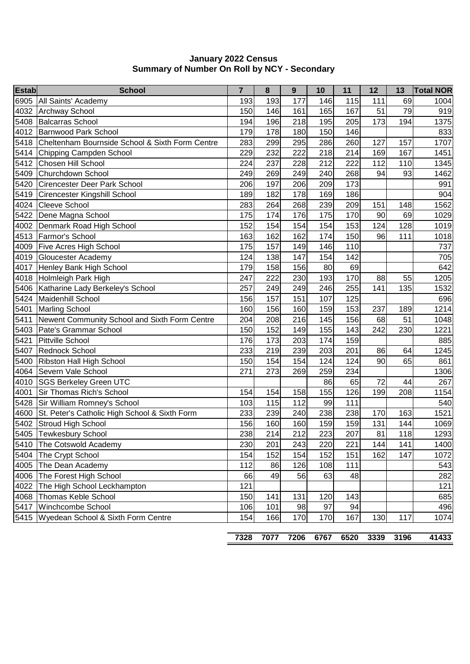| 177<br>115<br>193<br>193<br>146<br>111<br>69<br>1004<br>All Saints' Academy<br>165<br>79<br><b>Archway School</b><br>150<br>146<br>161<br>167<br>51<br>919<br>194<br>195<br>205<br>173<br>194<br><b>Balcarras School</b><br>196<br>218<br>1375<br>150<br>146<br>Barnwood Park School<br>179<br>178<br>180<br>833<br>260<br>Cheltenham Bournside School & Sixth Form Centre<br>283<br>295<br>286<br>127<br>1707<br>299<br>157<br>218<br>214<br>167<br>Chipping Campden School<br>229<br>232<br>222<br>169<br>1451<br>Chosen Hill School<br>224<br>212<br>222<br>112<br>237<br>228<br>110<br>1345<br>Churchdown School<br>249<br>240<br>268<br>93<br>269<br>249<br>94<br>1462<br>197<br>173<br><b>Cirencester Deer Park School</b><br>206<br>206<br>209<br>991<br>186<br>Cirencester Kingshill School<br>189<br>182<br>178<br>169<br>904<br><b>Cleeve School</b><br>283<br>239<br>209<br>151<br>1562<br>264<br>268<br>148<br>176<br>175<br>Dene Magna School<br>175<br>174<br>170<br>90<br>69<br>1029<br>124<br>128<br>Denmark Road High School<br>152<br>154<br>154<br>154<br>153<br>1019<br>Farmor's School<br>174<br>163<br>162<br>162<br>150<br>96<br>111<br>1018<br>157<br>175<br>149<br>146<br>110<br><b>Five Acres High School</b><br>737<br>4019<br>124<br>147<br>154<br>142<br>705<br>Gloucester Academy<br>138<br>69<br>Henley Bank High School<br>179<br>158<br>156<br>80<br>642<br>Holmleigh Park High<br>247<br>222<br>88<br>55<br>4018<br>230<br>193<br>170<br>1205<br>5406 Katharine Lady Berkeley's School<br>257<br>255<br>135<br>249<br>249<br>246<br>141<br>1532<br>157<br>107<br>125<br>Maidenhill School<br>156<br>151<br>696<br>153<br>5401<br><b>Marling School</b><br>160<br>156<br>159<br>237<br>189<br>1214<br>160<br>Newent Community School and Sixth Form Centre<br>204<br>156<br>51<br>208<br>216<br>145<br>68<br>1048<br>143<br>242<br>230<br>Pate's Grammar School<br>150<br>152<br>149<br>155<br>1221<br>Pittville School<br>176<br>174<br>159<br>173<br>203<br>885<br>Rednock School<br>233<br>219<br>239<br>203<br>201<br>86<br>1245<br>64<br>Ribston Hall High School<br>150<br>154<br>154<br>124<br>124<br>90<br>65<br>861<br>Severn Vale School<br>271<br>259<br>273<br>269<br>234<br>1306<br>72<br>65<br>44<br><b>SGS Berkeley Green UTC</b><br>86<br>267<br>Sir Thomas Rich's School<br>155<br>126<br>208<br>154<br>154<br>158<br>199<br>1154<br>99<br>Sir William Romney's School<br>103<br>115<br>112<br>111<br>540<br>238<br>St. Peter's Catholic High School & Sixth Form<br>233<br>239<br>238<br>170<br>163<br>1521<br>240<br>159<br>Stroud High School<br>156<br>159<br>1069<br>160<br>160<br>131<br>144<br>238<br>214<br>223<br>207<br>118<br>1293<br>5405 Tewkesbury School<br>212<br>81<br>230<br>201<br>220<br>221<br>144<br>141<br>1400<br>The Cotswold Academy<br>243<br>162<br>The Crypt School<br>154<br>152<br>154<br>152<br>151<br>147<br>1072<br>112<br>The Dean Academy<br>126<br>108<br>111<br>543<br>86<br>The Forest High School<br>56<br>63<br>66<br>48<br>282<br>49<br>121<br>The High School Leckhampton<br>121<br>Thomas Keble School<br>150<br>143<br>685<br>141<br>131<br>120<br>97<br>Winchcombe School<br>106<br>101<br>98<br>94<br>496 | <b>Estab</b> | <b>School</b>                      | $\overline{7}$ | 8   | 9   | 10  | 11  | 12  | 13  | <b>Total NOR</b> |
|------------------------------------------------------------------------------------------------------------------------------------------------------------------------------------------------------------------------------------------------------------------------------------------------------------------------------------------------------------------------------------------------------------------------------------------------------------------------------------------------------------------------------------------------------------------------------------------------------------------------------------------------------------------------------------------------------------------------------------------------------------------------------------------------------------------------------------------------------------------------------------------------------------------------------------------------------------------------------------------------------------------------------------------------------------------------------------------------------------------------------------------------------------------------------------------------------------------------------------------------------------------------------------------------------------------------------------------------------------------------------------------------------------------------------------------------------------------------------------------------------------------------------------------------------------------------------------------------------------------------------------------------------------------------------------------------------------------------------------------------------------------------------------------------------------------------------------------------------------------------------------------------------------------------------------------------------------------------------------------------------------------------------------------------------------------------------------------------------------------------------------------------------------------------------------------------------------------------------------------------------------------------------------------------------------------------------------------------------------------------------------------------------------------------------------------------------------------------------------------------------------------------------------------------------------------------------------------------------------------------------------------------------------------------------------------------------------------------------------------------------------------------------------------------------------------------------------------------------------------------------------------------------------------------------------------------------------------------------------------------------------------------------------------------------------------------------------------------------------------------------------------------------------------------------------------------------------|--------------|------------------------------------|----------------|-----|-----|-----|-----|-----|-----|------------------|
|                                                                                                                                                                                                                                                                                                                                                                                                                                                                                                                                                                                                                                                                                                                                                                                                                                                                                                                                                                                                                                                                                                                                                                                                                                                                                                                                                                                                                                                                                                                                                                                                                                                                                                                                                                                                                                                                                                                                                                                                                                                                                                                                                                                                                                                                                                                                                                                                                                                                                                                                                                                                                                                                                                                                                                                                                                                                                                                                                                                                                                                                                                                                                                                                            | 6905         |                                    |                |     |     |     |     |     |     |                  |
|                                                                                                                                                                                                                                                                                                                                                                                                                                                                                                                                                                                                                                                                                                                                                                                                                                                                                                                                                                                                                                                                                                                                                                                                                                                                                                                                                                                                                                                                                                                                                                                                                                                                                                                                                                                                                                                                                                                                                                                                                                                                                                                                                                                                                                                                                                                                                                                                                                                                                                                                                                                                                                                                                                                                                                                                                                                                                                                                                                                                                                                                                                                                                                                                            | 4032         |                                    |                |     |     |     |     |     |     |                  |
|                                                                                                                                                                                                                                                                                                                                                                                                                                                                                                                                                                                                                                                                                                                                                                                                                                                                                                                                                                                                                                                                                                                                                                                                                                                                                                                                                                                                                                                                                                                                                                                                                                                                                                                                                                                                                                                                                                                                                                                                                                                                                                                                                                                                                                                                                                                                                                                                                                                                                                                                                                                                                                                                                                                                                                                                                                                                                                                                                                                                                                                                                                                                                                                                            | 5408         |                                    |                |     |     |     |     |     |     |                  |
|                                                                                                                                                                                                                                                                                                                                                                                                                                                                                                                                                                                                                                                                                                                                                                                                                                                                                                                                                                                                                                                                                                                                                                                                                                                                                                                                                                                                                                                                                                                                                                                                                                                                                                                                                                                                                                                                                                                                                                                                                                                                                                                                                                                                                                                                                                                                                                                                                                                                                                                                                                                                                                                                                                                                                                                                                                                                                                                                                                                                                                                                                                                                                                                                            | 4012         |                                    |                |     |     |     |     |     |     |                  |
|                                                                                                                                                                                                                                                                                                                                                                                                                                                                                                                                                                                                                                                                                                                                                                                                                                                                                                                                                                                                                                                                                                                                                                                                                                                                                                                                                                                                                                                                                                                                                                                                                                                                                                                                                                                                                                                                                                                                                                                                                                                                                                                                                                                                                                                                                                                                                                                                                                                                                                                                                                                                                                                                                                                                                                                                                                                                                                                                                                                                                                                                                                                                                                                                            | 5418         |                                    |                |     |     |     |     |     |     |                  |
|                                                                                                                                                                                                                                                                                                                                                                                                                                                                                                                                                                                                                                                                                                                                                                                                                                                                                                                                                                                                                                                                                                                                                                                                                                                                                                                                                                                                                                                                                                                                                                                                                                                                                                                                                                                                                                                                                                                                                                                                                                                                                                                                                                                                                                                                                                                                                                                                                                                                                                                                                                                                                                                                                                                                                                                                                                                                                                                                                                                                                                                                                                                                                                                                            | 5414         |                                    |                |     |     |     |     |     |     |                  |
|                                                                                                                                                                                                                                                                                                                                                                                                                                                                                                                                                                                                                                                                                                                                                                                                                                                                                                                                                                                                                                                                                                                                                                                                                                                                                                                                                                                                                                                                                                                                                                                                                                                                                                                                                                                                                                                                                                                                                                                                                                                                                                                                                                                                                                                                                                                                                                                                                                                                                                                                                                                                                                                                                                                                                                                                                                                                                                                                                                                                                                                                                                                                                                                                            | 5412         |                                    |                |     |     |     |     |     |     |                  |
|                                                                                                                                                                                                                                                                                                                                                                                                                                                                                                                                                                                                                                                                                                                                                                                                                                                                                                                                                                                                                                                                                                                                                                                                                                                                                                                                                                                                                                                                                                                                                                                                                                                                                                                                                                                                                                                                                                                                                                                                                                                                                                                                                                                                                                                                                                                                                                                                                                                                                                                                                                                                                                                                                                                                                                                                                                                                                                                                                                                                                                                                                                                                                                                                            | 5409         |                                    |                |     |     |     |     |     |     |                  |
|                                                                                                                                                                                                                                                                                                                                                                                                                                                                                                                                                                                                                                                                                                                                                                                                                                                                                                                                                                                                                                                                                                                                                                                                                                                                                                                                                                                                                                                                                                                                                                                                                                                                                                                                                                                                                                                                                                                                                                                                                                                                                                                                                                                                                                                                                                                                                                                                                                                                                                                                                                                                                                                                                                                                                                                                                                                                                                                                                                                                                                                                                                                                                                                                            | 5420         |                                    |                |     |     |     |     |     |     |                  |
|                                                                                                                                                                                                                                                                                                                                                                                                                                                                                                                                                                                                                                                                                                                                                                                                                                                                                                                                                                                                                                                                                                                                                                                                                                                                                                                                                                                                                                                                                                                                                                                                                                                                                                                                                                                                                                                                                                                                                                                                                                                                                                                                                                                                                                                                                                                                                                                                                                                                                                                                                                                                                                                                                                                                                                                                                                                                                                                                                                                                                                                                                                                                                                                                            | 5419         |                                    |                |     |     |     |     |     |     |                  |
|                                                                                                                                                                                                                                                                                                                                                                                                                                                                                                                                                                                                                                                                                                                                                                                                                                                                                                                                                                                                                                                                                                                                                                                                                                                                                                                                                                                                                                                                                                                                                                                                                                                                                                                                                                                                                                                                                                                                                                                                                                                                                                                                                                                                                                                                                                                                                                                                                                                                                                                                                                                                                                                                                                                                                                                                                                                                                                                                                                                                                                                                                                                                                                                                            | 4024         |                                    |                |     |     |     |     |     |     |                  |
|                                                                                                                                                                                                                                                                                                                                                                                                                                                                                                                                                                                                                                                                                                                                                                                                                                                                                                                                                                                                                                                                                                                                                                                                                                                                                                                                                                                                                                                                                                                                                                                                                                                                                                                                                                                                                                                                                                                                                                                                                                                                                                                                                                                                                                                                                                                                                                                                                                                                                                                                                                                                                                                                                                                                                                                                                                                                                                                                                                                                                                                                                                                                                                                                            | 5422         |                                    |                |     |     |     |     |     |     |                  |
|                                                                                                                                                                                                                                                                                                                                                                                                                                                                                                                                                                                                                                                                                                                                                                                                                                                                                                                                                                                                                                                                                                                                                                                                                                                                                                                                                                                                                                                                                                                                                                                                                                                                                                                                                                                                                                                                                                                                                                                                                                                                                                                                                                                                                                                                                                                                                                                                                                                                                                                                                                                                                                                                                                                                                                                                                                                                                                                                                                                                                                                                                                                                                                                                            | 4002         |                                    |                |     |     |     |     |     |     |                  |
|                                                                                                                                                                                                                                                                                                                                                                                                                                                                                                                                                                                                                                                                                                                                                                                                                                                                                                                                                                                                                                                                                                                                                                                                                                                                                                                                                                                                                                                                                                                                                                                                                                                                                                                                                                                                                                                                                                                                                                                                                                                                                                                                                                                                                                                                                                                                                                                                                                                                                                                                                                                                                                                                                                                                                                                                                                                                                                                                                                                                                                                                                                                                                                                                            | 4513         |                                    |                |     |     |     |     |     |     |                  |
|                                                                                                                                                                                                                                                                                                                                                                                                                                                                                                                                                                                                                                                                                                                                                                                                                                                                                                                                                                                                                                                                                                                                                                                                                                                                                                                                                                                                                                                                                                                                                                                                                                                                                                                                                                                                                                                                                                                                                                                                                                                                                                                                                                                                                                                                                                                                                                                                                                                                                                                                                                                                                                                                                                                                                                                                                                                                                                                                                                                                                                                                                                                                                                                                            | 4009         |                                    |                |     |     |     |     |     |     |                  |
|                                                                                                                                                                                                                                                                                                                                                                                                                                                                                                                                                                                                                                                                                                                                                                                                                                                                                                                                                                                                                                                                                                                                                                                                                                                                                                                                                                                                                                                                                                                                                                                                                                                                                                                                                                                                                                                                                                                                                                                                                                                                                                                                                                                                                                                                                                                                                                                                                                                                                                                                                                                                                                                                                                                                                                                                                                                                                                                                                                                                                                                                                                                                                                                                            |              |                                    |                |     |     |     |     |     |     |                  |
|                                                                                                                                                                                                                                                                                                                                                                                                                                                                                                                                                                                                                                                                                                                                                                                                                                                                                                                                                                                                                                                                                                                                                                                                                                                                                                                                                                                                                                                                                                                                                                                                                                                                                                                                                                                                                                                                                                                                                                                                                                                                                                                                                                                                                                                                                                                                                                                                                                                                                                                                                                                                                                                                                                                                                                                                                                                                                                                                                                                                                                                                                                                                                                                                            | 4017         |                                    |                |     |     |     |     |     |     |                  |
|                                                                                                                                                                                                                                                                                                                                                                                                                                                                                                                                                                                                                                                                                                                                                                                                                                                                                                                                                                                                                                                                                                                                                                                                                                                                                                                                                                                                                                                                                                                                                                                                                                                                                                                                                                                                                                                                                                                                                                                                                                                                                                                                                                                                                                                                                                                                                                                                                                                                                                                                                                                                                                                                                                                                                                                                                                                                                                                                                                                                                                                                                                                                                                                                            |              |                                    |                |     |     |     |     |     |     |                  |
|                                                                                                                                                                                                                                                                                                                                                                                                                                                                                                                                                                                                                                                                                                                                                                                                                                                                                                                                                                                                                                                                                                                                                                                                                                                                                                                                                                                                                                                                                                                                                                                                                                                                                                                                                                                                                                                                                                                                                                                                                                                                                                                                                                                                                                                                                                                                                                                                                                                                                                                                                                                                                                                                                                                                                                                                                                                                                                                                                                                                                                                                                                                                                                                                            |              |                                    |                |     |     |     |     |     |     |                  |
|                                                                                                                                                                                                                                                                                                                                                                                                                                                                                                                                                                                                                                                                                                                                                                                                                                                                                                                                                                                                                                                                                                                                                                                                                                                                                                                                                                                                                                                                                                                                                                                                                                                                                                                                                                                                                                                                                                                                                                                                                                                                                                                                                                                                                                                                                                                                                                                                                                                                                                                                                                                                                                                                                                                                                                                                                                                                                                                                                                                                                                                                                                                                                                                                            | 5424         |                                    |                |     |     |     |     |     |     |                  |
|                                                                                                                                                                                                                                                                                                                                                                                                                                                                                                                                                                                                                                                                                                                                                                                                                                                                                                                                                                                                                                                                                                                                                                                                                                                                                                                                                                                                                                                                                                                                                                                                                                                                                                                                                                                                                                                                                                                                                                                                                                                                                                                                                                                                                                                                                                                                                                                                                                                                                                                                                                                                                                                                                                                                                                                                                                                                                                                                                                                                                                                                                                                                                                                                            |              |                                    |                |     |     |     |     |     |     |                  |
|                                                                                                                                                                                                                                                                                                                                                                                                                                                                                                                                                                                                                                                                                                                                                                                                                                                                                                                                                                                                                                                                                                                                                                                                                                                                                                                                                                                                                                                                                                                                                                                                                                                                                                                                                                                                                                                                                                                                                                                                                                                                                                                                                                                                                                                                                                                                                                                                                                                                                                                                                                                                                                                                                                                                                                                                                                                                                                                                                                                                                                                                                                                                                                                                            | 5411         |                                    |                |     |     |     |     |     |     |                  |
|                                                                                                                                                                                                                                                                                                                                                                                                                                                                                                                                                                                                                                                                                                                                                                                                                                                                                                                                                                                                                                                                                                                                                                                                                                                                                                                                                                                                                                                                                                                                                                                                                                                                                                                                                                                                                                                                                                                                                                                                                                                                                                                                                                                                                                                                                                                                                                                                                                                                                                                                                                                                                                                                                                                                                                                                                                                                                                                                                                                                                                                                                                                                                                                                            | 5403         |                                    |                |     |     |     |     |     |     |                  |
|                                                                                                                                                                                                                                                                                                                                                                                                                                                                                                                                                                                                                                                                                                                                                                                                                                                                                                                                                                                                                                                                                                                                                                                                                                                                                                                                                                                                                                                                                                                                                                                                                                                                                                                                                                                                                                                                                                                                                                                                                                                                                                                                                                                                                                                                                                                                                                                                                                                                                                                                                                                                                                                                                                                                                                                                                                                                                                                                                                                                                                                                                                                                                                                                            | 5421         |                                    |                |     |     |     |     |     |     |                  |
|                                                                                                                                                                                                                                                                                                                                                                                                                                                                                                                                                                                                                                                                                                                                                                                                                                                                                                                                                                                                                                                                                                                                                                                                                                                                                                                                                                                                                                                                                                                                                                                                                                                                                                                                                                                                                                                                                                                                                                                                                                                                                                                                                                                                                                                                                                                                                                                                                                                                                                                                                                                                                                                                                                                                                                                                                                                                                                                                                                                                                                                                                                                                                                                                            | 5407         |                                    |                |     |     |     |     |     |     |                  |
|                                                                                                                                                                                                                                                                                                                                                                                                                                                                                                                                                                                                                                                                                                                                                                                                                                                                                                                                                                                                                                                                                                                                                                                                                                                                                                                                                                                                                                                                                                                                                                                                                                                                                                                                                                                                                                                                                                                                                                                                                                                                                                                                                                                                                                                                                                                                                                                                                                                                                                                                                                                                                                                                                                                                                                                                                                                                                                                                                                                                                                                                                                                                                                                                            | 5400         |                                    |                |     |     |     |     |     |     |                  |
|                                                                                                                                                                                                                                                                                                                                                                                                                                                                                                                                                                                                                                                                                                                                                                                                                                                                                                                                                                                                                                                                                                                                                                                                                                                                                                                                                                                                                                                                                                                                                                                                                                                                                                                                                                                                                                                                                                                                                                                                                                                                                                                                                                                                                                                                                                                                                                                                                                                                                                                                                                                                                                                                                                                                                                                                                                                                                                                                                                                                                                                                                                                                                                                                            | 4064         |                                    |                |     |     |     |     |     |     |                  |
|                                                                                                                                                                                                                                                                                                                                                                                                                                                                                                                                                                                                                                                                                                                                                                                                                                                                                                                                                                                                                                                                                                                                                                                                                                                                                                                                                                                                                                                                                                                                                                                                                                                                                                                                                                                                                                                                                                                                                                                                                                                                                                                                                                                                                                                                                                                                                                                                                                                                                                                                                                                                                                                                                                                                                                                                                                                                                                                                                                                                                                                                                                                                                                                                            | 4010         |                                    |                |     |     |     |     |     |     |                  |
|                                                                                                                                                                                                                                                                                                                                                                                                                                                                                                                                                                                                                                                                                                                                                                                                                                                                                                                                                                                                                                                                                                                                                                                                                                                                                                                                                                                                                                                                                                                                                                                                                                                                                                                                                                                                                                                                                                                                                                                                                                                                                                                                                                                                                                                                                                                                                                                                                                                                                                                                                                                                                                                                                                                                                                                                                                                                                                                                                                                                                                                                                                                                                                                                            | 4001         |                                    |                |     |     |     |     |     |     |                  |
|                                                                                                                                                                                                                                                                                                                                                                                                                                                                                                                                                                                                                                                                                                                                                                                                                                                                                                                                                                                                                                                                                                                                                                                                                                                                                                                                                                                                                                                                                                                                                                                                                                                                                                                                                                                                                                                                                                                                                                                                                                                                                                                                                                                                                                                                                                                                                                                                                                                                                                                                                                                                                                                                                                                                                                                                                                                                                                                                                                                                                                                                                                                                                                                                            | 5428         |                                    |                |     |     |     |     |     |     |                  |
|                                                                                                                                                                                                                                                                                                                                                                                                                                                                                                                                                                                                                                                                                                                                                                                                                                                                                                                                                                                                                                                                                                                                                                                                                                                                                                                                                                                                                                                                                                                                                                                                                                                                                                                                                                                                                                                                                                                                                                                                                                                                                                                                                                                                                                                                                                                                                                                                                                                                                                                                                                                                                                                                                                                                                                                                                                                                                                                                                                                                                                                                                                                                                                                                            | 4600         |                                    |                |     |     |     |     |     |     |                  |
|                                                                                                                                                                                                                                                                                                                                                                                                                                                                                                                                                                                                                                                                                                                                                                                                                                                                                                                                                                                                                                                                                                                                                                                                                                                                                                                                                                                                                                                                                                                                                                                                                                                                                                                                                                                                                                                                                                                                                                                                                                                                                                                                                                                                                                                                                                                                                                                                                                                                                                                                                                                                                                                                                                                                                                                                                                                                                                                                                                                                                                                                                                                                                                                                            | 5402         |                                    |                |     |     |     |     |     |     |                  |
|                                                                                                                                                                                                                                                                                                                                                                                                                                                                                                                                                                                                                                                                                                                                                                                                                                                                                                                                                                                                                                                                                                                                                                                                                                                                                                                                                                                                                                                                                                                                                                                                                                                                                                                                                                                                                                                                                                                                                                                                                                                                                                                                                                                                                                                                                                                                                                                                                                                                                                                                                                                                                                                                                                                                                                                                                                                                                                                                                                                                                                                                                                                                                                                                            |              |                                    |                |     |     |     |     |     |     |                  |
|                                                                                                                                                                                                                                                                                                                                                                                                                                                                                                                                                                                                                                                                                                                                                                                                                                                                                                                                                                                                                                                                                                                                                                                                                                                                                                                                                                                                                                                                                                                                                                                                                                                                                                                                                                                                                                                                                                                                                                                                                                                                                                                                                                                                                                                                                                                                                                                                                                                                                                                                                                                                                                                                                                                                                                                                                                                                                                                                                                                                                                                                                                                                                                                                            | 5410         |                                    |                |     |     |     |     |     |     |                  |
|                                                                                                                                                                                                                                                                                                                                                                                                                                                                                                                                                                                                                                                                                                                                                                                                                                                                                                                                                                                                                                                                                                                                                                                                                                                                                                                                                                                                                                                                                                                                                                                                                                                                                                                                                                                                                                                                                                                                                                                                                                                                                                                                                                                                                                                                                                                                                                                                                                                                                                                                                                                                                                                                                                                                                                                                                                                                                                                                                                                                                                                                                                                                                                                                            | 5404         |                                    |                |     |     |     |     |     |     |                  |
|                                                                                                                                                                                                                                                                                                                                                                                                                                                                                                                                                                                                                                                                                                                                                                                                                                                                                                                                                                                                                                                                                                                                                                                                                                                                                                                                                                                                                                                                                                                                                                                                                                                                                                                                                                                                                                                                                                                                                                                                                                                                                                                                                                                                                                                                                                                                                                                                                                                                                                                                                                                                                                                                                                                                                                                                                                                                                                                                                                                                                                                                                                                                                                                                            | 4005         |                                    |                |     |     |     |     |     |     |                  |
|                                                                                                                                                                                                                                                                                                                                                                                                                                                                                                                                                                                                                                                                                                                                                                                                                                                                                                                                                                                                                                                                                                                                                                                                                                                                                                                                                                                                                                                                                                                                                                                                                                                                                                                                                                                                                                                                                                                                                                                                                                                                                                                                                                                                                                                                                                                                                                                                                                                                                                                                                                                                                                                                                                                                                                                                                                                                                                                                                                                                                                                                                                                                                                                                            | 4006         |                                    |                |     |     |     |     |     |     |                  |
|                                                                                                                                                                                                                                                                                                                                                                                                                                                                                                                                                                                                                                                                                                                                                                                                                                                                                                                                                                                                                                                                                                                                                                                                                                                                                                                                                                                                                                                                                                                                                                                                                                                                                                                                                                                                                                                                                                                                                                                                                                                                                                                                                                                                                                                                                                                                                                                                                                                                                                                                                                                                                                                                                                                                                                                                                                                                                                                                                                                                                                                                                                                                                                                                            | 4022         |                                    |                |     |     |     |     |     |     |                  |
|                                                                                                                                                                                                                                                                                                                                                                                                                                                                                                                                                                                                                                                                                                                                                                                                                                                                                                                                                                                                                                                                                                                                                                                                                                                                                                                                                                                                                                                                                                                                                                                                                                                                                                                                                                                                                                                                                                                                                                                                                                                                                                                                                                                                                                                                                                                                                                                                                                                                                                                                                                                                                                                                                                                                                                                                                                                                                                                                                                                                                                                                                                                                                                                                            | 4068         |                                    |                |     |     |     |     |     |     |                  |
|                                                                                                                                                                                                                                                                                                                                                                                                                                                                                                                                                                                                                                                                                                                                                                                                                                                                                                                                                                                                                                                                                                                                                                                                                                                                                                                                                                                                                                                                                                                                                                                                                                                                                                                                                                                                                                                                                                                                                                                                                                                                                                                                                                                                                                                                                                                                                                                                                                                                                                                                                                                                                                                                                                                                                                                                                                                                                                                                                                                                                                                                                                                                                                                                            | 5417         |                                    |                |     |     |     |     |     |     |                  |
|                                                                                                                                                                                                                                                                                                                                                                                                                                                                                                                                                                                                                                                                                                                                                                                                                                                                                                                                                                                                                                                                                                                                                                                                                                                                                                                                                                                                                                                                                                                                                                                                                                                                                                                                                                                                                                                                                                                                                                                                                                                                                                                                                                                                                                                                                                                                                                                                                                                                                                                                                                                                                                                                                                                                                                                                                                                                                                                                                                                                                                                                                                                                                                                                            | 5415         | Wyedean School & Sixth Form Centre | 154            | 166 | 170 | 170 | 167 | 130 | 117 | 1074             |

### **January 2022 Census Summary of Number On Roll by NCY - Secondary**

|  |  |  | 7328 7077 7206 6767 6520 3339 3196 | 41433 |
|--|--|--|------------------------------------|-------|
|  |  |  |                                    |       |